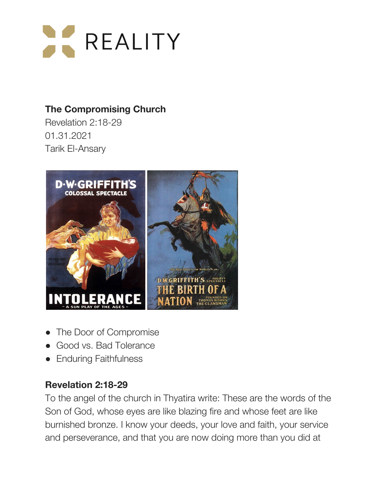

# **The Compromising Church**

Revelation 2:18-29 01.31.2021 Tarik El-Ansary



- **●** The Door of Compromise
- **●** Good vs. Bad Tolerance
- **●** Enduring Faithfulness

## **Revelation 2:18-29**

To the angel of the church in Thyatira write: These are the words of the Son of God, whose eyes are like blazing fire and whose feet are like burnished bronze. I know your deeds, your love and faith, your service and perseverance, and that you are now doing more than you did at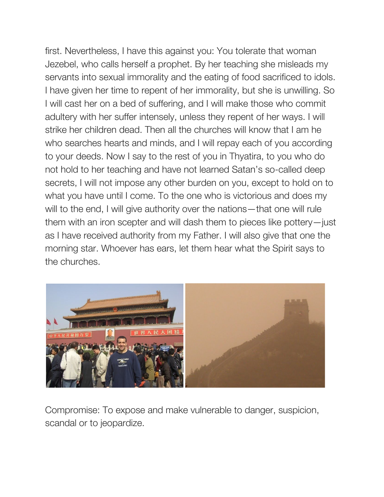first. Nevertheless, I have this against you: You tolerate that woman Jezebel, who calls herself a prophet. By her teaching she misleads my servants into sexual immorality and the eating of food sacrificed to idols. I have given her time to repent of her immorality, but she is unwilling. So I will cast her on a bed of suffering, and I will make those who commit adultery with her suffer intensely, unless they repent of her ways. I will strike her children dead. Then all the churches will know that I am he who searches hearts and minds, and I will repay each of you according to your deeds. Now I say to the rest of you in Thyatira, to you who do not hold to her teaching and have not learned Satan's so-called deep secrets, I will not impose any other burden on you, except to hold on to what you have until I come. To the one who is victorious and does my will to the end, I will give authority over the nations—that one will rule them with an iron scepter and will dash them to pieces like pottery—just as I have received authority from my Father. I will also give that one the morning star. Whoever has ears, let them hear what the Spirit says to the churches.



Compromise: To expose and make vulnerable to danger, suspicion, scandal or to jeopardize.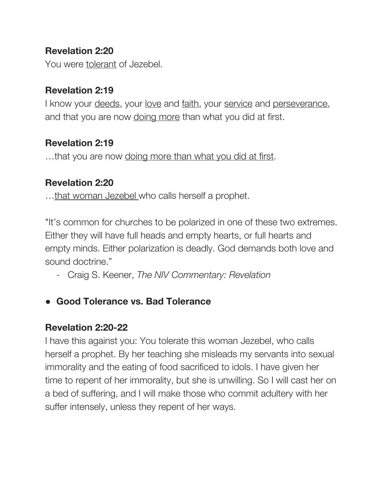### **Revelation 2:20**

You were tolerant of Jezebel.

### **Revelation 2:19**

I know your deeds, your love and faith, your service and perseverance, and that you are now doing more than what you did at first.

### **Revelation 2:19**

...that you are now doing more than what you did at first.

#### **Revelation 2:20**

...that woman Jezebel who calls herself a prophet.

"It's common for churches to be polarized in one of these two extremes. Either they will have full heads and empty hearts, or full hearts and empty minds. Either polarization is deadly. God demands both love and sound doctrine."

- Craig S. Keener, *The NIV Commentary: Revelation*
- **● Good Tolerance vs. Bad Tolerance**

#### **Revelation 2:20-22**

I have this against you: You tolerate this woman Jezebel, who calls herself a prophet. By her teaching she misleads my servants into sexual immorality and the eating of food sacrificed to idols. I have given her time to repent of her immorality, but she is unwilling. So I will cast her on a bed of suffering, and I will make those who commit adultery with her suffer intensely, unless they repent of her ways.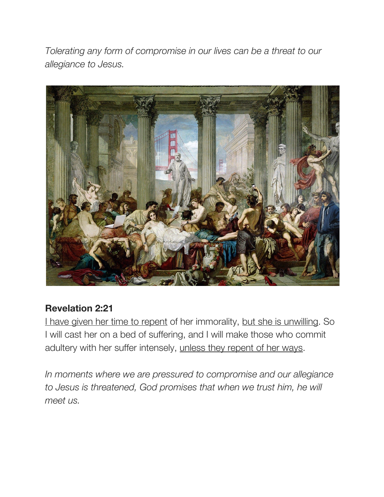*Tolerating any form of compromise in our lives can be a threat to our allegiance to Jesus.*



## **Revelation 2:21**

I have given her time to repent of her immorality, but she is unwilling. So I will cast her on a bed of suffering, and I will make those who commit adultery with her suffer intensely, unless they repent of her ways.

*In moments where we are pressured to compromise and our allegiance to Jesus is threatened, God promises that when we trust him, he will meet us.*